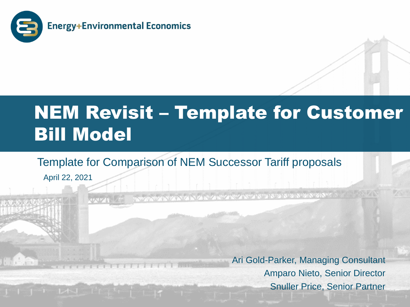

## NEM Revisit – Template for Customer Bill Model

#### Template for Comparison of NEM Successor Tariff proposals

April 22, 2021

**THE REPORT OF THE REAL PROPERTY OF THE REAL PROPERTY OF THE REAL PROPERTY OF THE REAL PROPERTY OF THE REAL PROPERTY OF THE REAL PROPERTY OF THE REAL PROPERTY OF THE REAL PROPERTY OF THE REAL PROPERTY OF THE REAL PROPERTY** 

Ari Gold-Parker, Managing Consultant Amparo Nieto, Senior Director Snuller Price, Senior Partner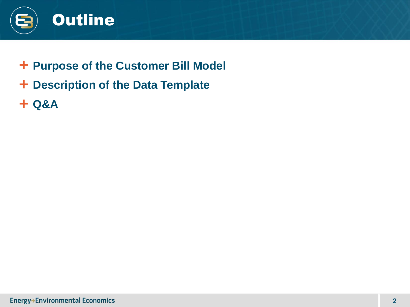

- **Purpose of the Customer Bill Model**
- **Description of the Data Template**
- **Q&A**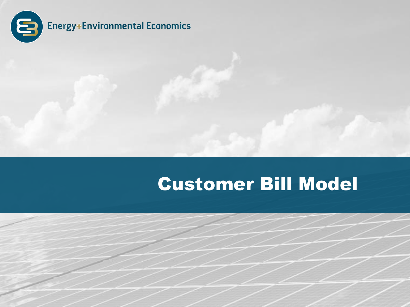

## Customer Bill Model

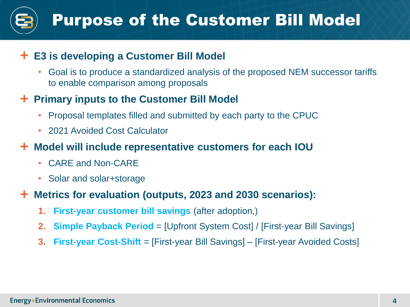### Purpose of the Customer Bill Model

#### **E3 is developing a Customer Bill Model**

• Goal is to produce a standardized analysis of the proposed NEM successor tariffs to enable comparison among proposals

#### **Primary inputs to the Customer Bill Model**

- Proposal templates filled and submitted by each party to the CPUC
- 2021 Avoided Cost Calculator

#### **Model will include representative customers for each IOU**

- CARE and Non-CARE
- Solar and solar+storage

#### **Metrics for evaluation (outputs, 2023 and 2030 scenarios):**

- **1. First-year customer bill savings** (after adoption,)
- **2. Simple Payback Period** = [Upfront System Cost] / [First-year Bill Savings]
- **3. First-year Cost-Shift** = [First-year Bill Savings] [First-year Avoided Costs]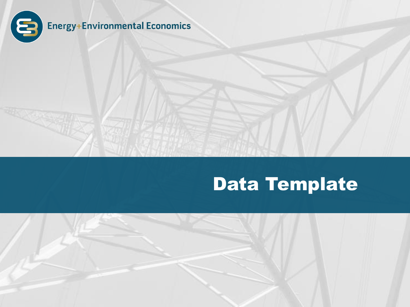

## Data Template

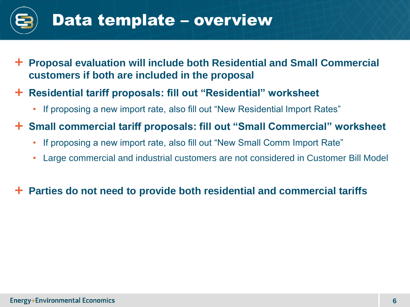

- **Proposal evaluation will include both Residential and Small Commercial customers if both are included in the proposal**
- **Residential tariff proposals: fill out "Residential" worksheet**
	- If proposing a new import rate, also fill out "New Residential Import Rates"
- **Small commercial tariff proposals: fill out "Small Commercial" worksheet**
	- If proposing a new import rate, also fill out "New Small Comm Import Rate"
	- Large commercial and industrial customers are not considered in Customer Bill Model

#### **Parties do not need to provide both residential and commercial tariffs**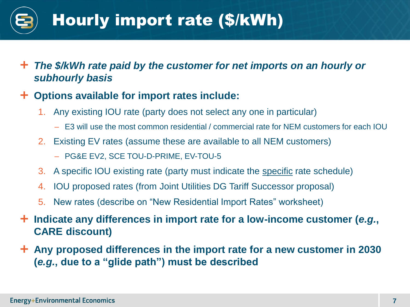## Hourly import rate (\$/kWh)

- *The \$/kWh rate paid by the customer for net imports on an hourly or subhourly basis*
- **Options available for import rates include:**
	- 1. Any existing IOU rate (party does not select any one in particular)
		- E3 will use the most common residential / commercial rate for NEM customers for each IOU
	- 2. Existing EV rates (assume these are available to all NEM customers)
		- PG&E EV2, SCE TOU-D-PRIME, EV-TOU-5
	- 3. A specific IOU existing rate (party must indicate the specific rate schedule)
	- 4. IOU proposed rates (from Joint Utilities DG Tariff Successor proposal)
	- 5. New rates (describe on "New Residential Import Rates" worksheet)
- **Indicate any differences in import rate for a low-income customer (***e.g.***, CARE discount)**
- **Any proposed differences in the import rate for a new customer in 2030 (***e.g.***, due to a "glide path") must be described**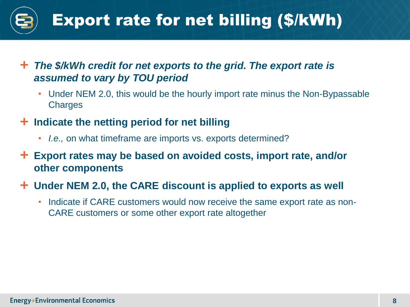## Export rate for net billing (\$/kWh)

- *The \$/kWh credit for net exports to the grid. The export rate is assumed to vary by TOU period*
	- Under NEM 2.0, this would be the hourly import rate minus the Non-Bypassable **Charges**

#### **Indicate the netting period for net billing**

- *I.e.,* on what timeframe are imports vs. exports determined?
- **Export rates may be based on avoided costs, import rate, and/or other components**

#### **Under NEM 2.0, the CARE discount is applied to exports as well**

• Indicate if CARE customers would now receive the same export rate as non-CARE customers or some other export rate altogether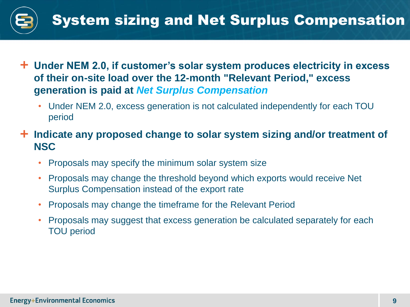

- **Under NEM 2.0, if customer's solar system produces electricity in excess of their on-site load over the 12-month "Relevant Period," excess generation is paid at** *Net Surplus Compensation*
	- Under NEM 2.0, excess generation is not calculated independently for each TOU period
- **Indicate any proposed change to solar system sizing and/or treatment of NSC**
	- Proposals may specify the minimum solar system size
	- Proposals may change the threshold beyond which exports would receive Net Surplus Compensation instead of the export rate
	- Proposals may change the timeframe for the Relevant Period
	- Proposals may suggest that excess generation be calculated separately for each TOU period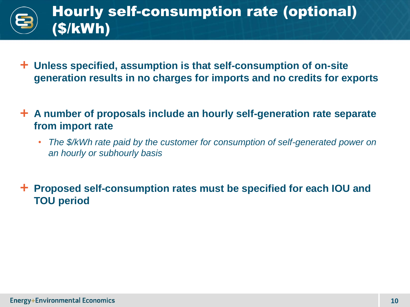

- **Unless specified, assumption is that self-consumption of on-site generation results in no charges for imports and no credits for exports**
- **A number of proposals include an hourly self-generation rate separate from import rate**
	- *The \$/kWh rate paid by the customer for consumption of self-generated power on an hourly or subhourly basis*

 **Proposed self-consumption rates must be specified for each IOU and TOU period**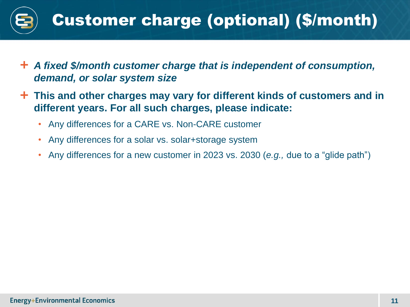

- *A fixed \$/month customer charge that is independent of consumption, demand, or solar system size*
- **This and other charges may vary for different kinds of customers and in different years. For all such charges, please indicate:**
	- Any differences for a CARE vs. Non-CARE customer
	- Any differences for a solar vs. solar+storage system
	- Any differences for a new customer in 2023 vs. 2030 (*e.g.,* due to a "glide path")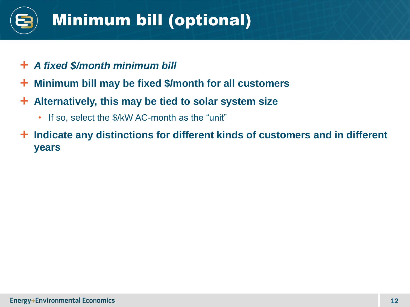# Minimum bill (optional)

- *A fixed \$/month minimum bill*
- **Minimum bill may be fixed \$/month for all customers**
- **Alternatively, this may be tied to solar system size**
	- If so, select the \$/kW AC-month as the "unit"
- **Indicate any distinctions for different kinds of customers and in different years**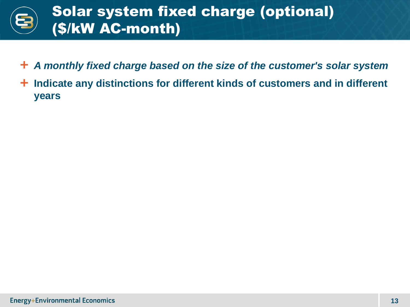

- *A monthly fixed charge based on the size of the customer's solar system*
- **Indicate any distinctions for different kinds of customers and in different years**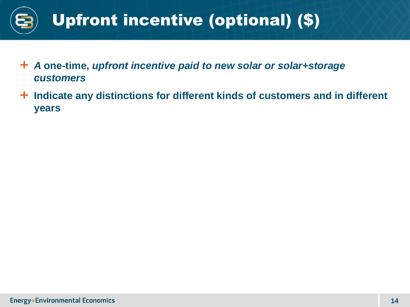

- *A* **one-time,** *upfront incentive paid to new solar or solar+storage customers*
- **Indicate any distinctions for different kinds of customers and in different years**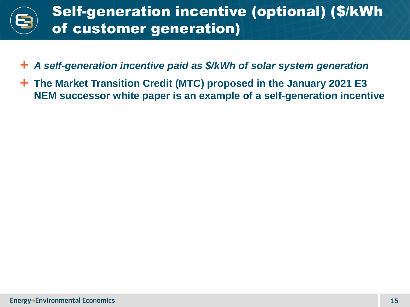

- *A self-generation incentive paid as \$/kWh of solar system generation*
- **The Market Transition Credit (MTC) proposed in the January 2021 E3 NEM successor white paper is an example of a self-generation incentive**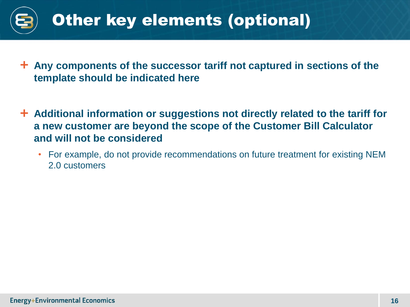

- **Any components of the successor tariff not captured in sections of the template should be indicated here**
- **Additional information or suggestions not directly related to the tariff for a new customer are beyond the scope of the Customer Bill Calculator and will not be considered**
	- For example, do not provide recommendations on future treatment for existing NEM 2.0 customers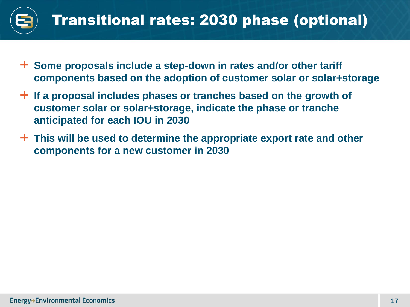

- **Some proposals include a step-down in rates and/or other tariff components based on the adoption of customer solar or solar+storage**
- **If a proposal includes phases or tranches based on the growth of customer solar or solar+storage, indicate the phase or tranche anticipated for each IOU in 2030**
- **This will be used to determine the appropriate export rate and other components for a new customer in 2030**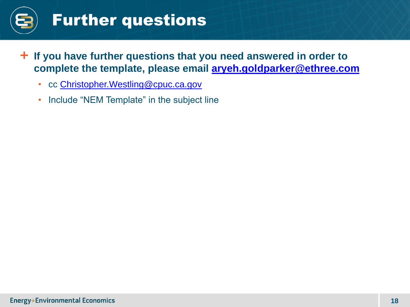

### Further questions

- **If you have further questions that you need answered in order to complete the template, please email [aryeh.goldparker@ethree.com](mailto:aryeh.goldparker@ethree.com)**
	- cc [Christopher.Westling@cpuc.ca.gov](mailto:Christopher.Westling@cpuc.ca.gov)
	- Include "NEM Template" in the subject line